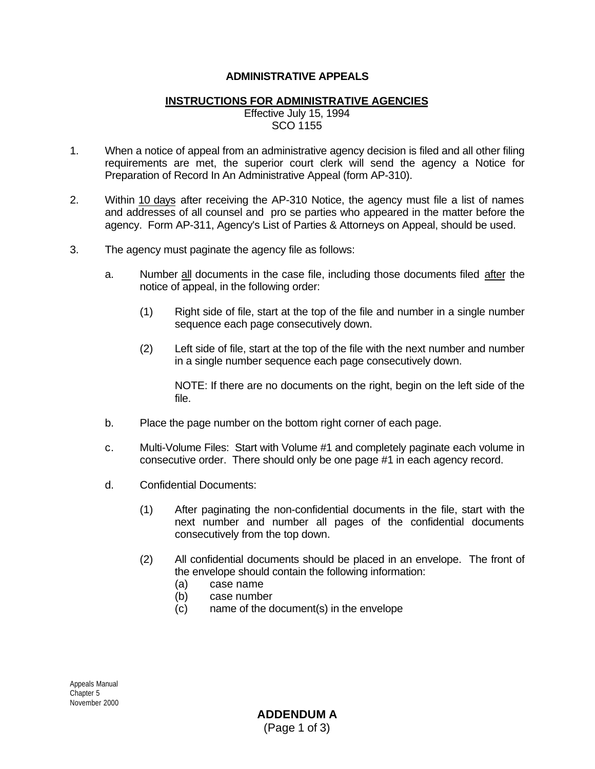## **ADMINISTRATIVE APPEALS**

## **INSTRUCTIONS FOR ADMINISTRATIVE AGENCIES**

Effective July 15, 1994 SCO 1155

- 1. When a notice of appeal from an administrative agency decision is filed and all other filing requirements are met, the superior court clerk will send the agency a Notice for Preparation of Record In An Administrative Appeal (form AP-310).
- 2. Within 10 days after receiving the AP-310 Notice, the agency must file a list of names and addresses of all counsel and pro se parties who appeared in the matter before the agency. Form AP-311, Agency's List of Parties & Attorneys on Appeal, should be used.
- 3. The agency must paginate the agency file as follows:
	- a. Number all documents in the case file, including those documents filed after the notice of appeal, in the following order:
		- (1) Right side of file, start at the top of the file and number in a single number sequence each page consecutively down.
		- (2) Left side of file, start at the top of the file with the next number and number in a single number sequence each page consecutively down.

NOTE: If there are no documents on the right, begin on the left side of the file.

- b. Place the page number on the bottom right corner of each page.
- c. Multi-Volume Files: Start with Volume #1 and completely paginate each volume in consecutive order. There should only be one page #1 in each agency record.
- d. Confidential Documents:
	- (1) After paginating the non-confidential documents in the file, start with the next number and number all pages of the confidential documents consecutively from the top down.
	- (2) All confidential documents should be placed in an envelope. The front of the envelope should contain the following information:
		- (a) case name
		- (b) case number
		- (c) name of the document(s) in the envelope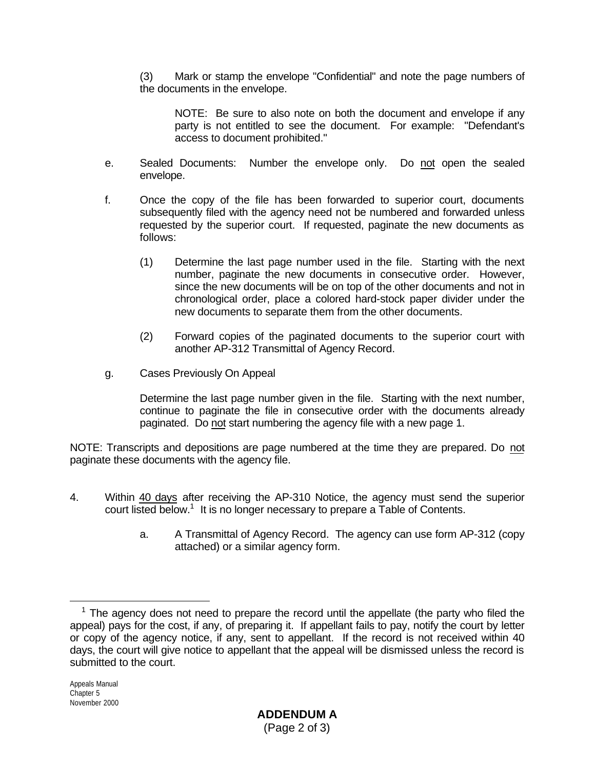(3) Mark or stamp the envelope "Confidential" and note the page numbers of the documents in the envelope.

NOTE: Be sure to also note on both the document and envelope if any party is not entitled to see the document. For example: "Defendant's access to document prohibited."

- e. Sealed Documents: Number the envelope only. Do not open the sealed envelope.
- f. Once the copy of the file has been forwarded to superior court, documents subsequently filed with the agency need not be numbered and forwarded unless requested by the superior court. If requested, paginate the new documents as follows:
	- (1) Determine the last page number used in the file. Starting with the next number, paginate the new documents in consecutive order. However, since the new documents will be on top of the other documents and not in chronological order, place a colored hard-stock paper divider under the new documents to separate them from the other documents.
	- (2) Forward copies of the paginated documents to the superior court with another AP-312 Transmittal of Agency Record.
- g. Cases Previously On Appeal

Determine the last page number given in the file. Starting with the next number, continue to paginate the file in consecutive order with the documents already paginated. Do not start numbering the agency file with a new page 1.

NOTE: Transcripts and depositions are page numbered at the time they are prepared. Do not paginate these documents with the agency file.

- 4. Within 40 days after receiving the AP-310 Notice, the agency must send the superior court listed below.<sup>1</sup> It is no longer necessary to prepare a Table of Contents.
	- a. A Transmittal of Agency Record. The agency can use form AP-312 (copy attached) or a similar agency form.

i  $1$  The agency does not need to prepare the record until the appellate (the party who filed the appeal) pays for the cost, if any, of preparing it. If appellant fails to pay, notify the court by letter or copy of the agency notice, if any, sent to appellant. If the record is not received within 40 days, the court will give notice to appellant that the appeal will be dismissed unless the record is submitted to the court.